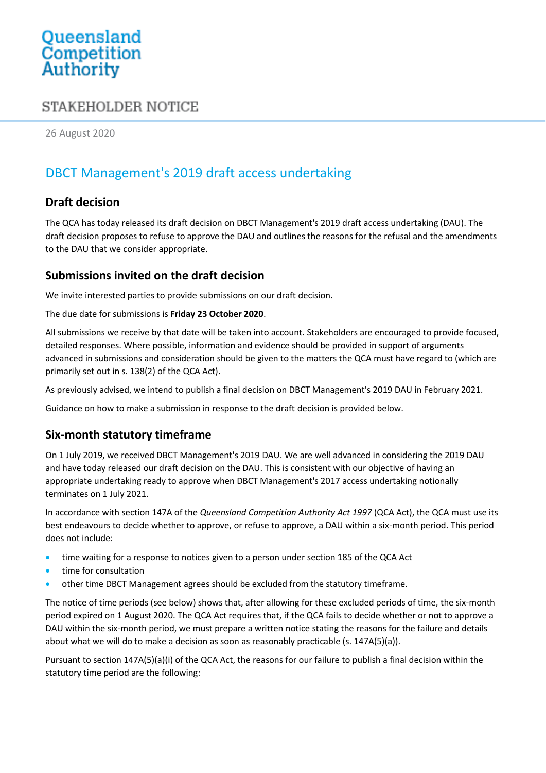# Queensland<br>Competition Authority

# STAKEHOLDER NOTICE

26 August 2020

# DBCT Management's 2019 draft access undertaking

## **Draft decision**

The QCA has today released its draft decision on DBCT Management's 2019 draft access undertaking (DAU). The draft decision proposes to refuse to approve the DAU and outlines the reasons for the refusal and the amendments to the DAU that we consider appropriate.

## **Submissions invited on the draft decision**

We invite interested parties to provide submissions on our draft decision.

The due date for submissions is **Friday 23 October 2020**.

All submissions we receive by that date will be taken into account. Stakeholders are encouraged to provide focused, detailed responses. Where possible, information and evidence should be provided in support of arguments advanced in submissions and consideration should be given to the matters the QCA must have regard to (which are primarily set out in s. 138(2) of the QCA Act).

As previously advised, we intend to publish a final decision on DBCT Management's 2019 DAU in February 2021.

Guidance on how to make a submission in response to the draft decision is provided below.

## **Six-month statutory timeframe**

On 1 July 2019, we received DBCT Management's 2019 DAU. We are well advanced in considering the 2019 DAU and have today released our draft decision on the DAU. This is consistent with our objective of having an appropriate undertaking ready to approve when DBCT Management's 2017 access undertaking notionally terminates on 1 July 2021.

In accordance with section 147A of the *Queensland Competition Authority Act 1997* (QCA Act), the QCA must use its best endeavours to decide whether to approve, or refuse to approve, a DAU within a six-month period. This period does not include:

- time waiting for a response to notices given to a person under section 185 of the QCA Act
- time for consultation
- other time DBCT Management agrees should be excluded from the statutory timeframe.

The notice of time periods (see below) shows that, after allowing for these excluded periods of time, the six-month period expired on 1 August 2020. The QCA Act requires that, if the QCA fails to decide whether or not to approve a DAU within the six-month period, we must prepare a written notice stating the reasons for the failure and details about what we will do to make a decision as soon as reasonably practicable (s. 147A(5)(a)).

Pursuant to section 147A(5)(a)(i) of the QCA Act, the reasons for our failure to publish a final decision within the statutory time period are the following: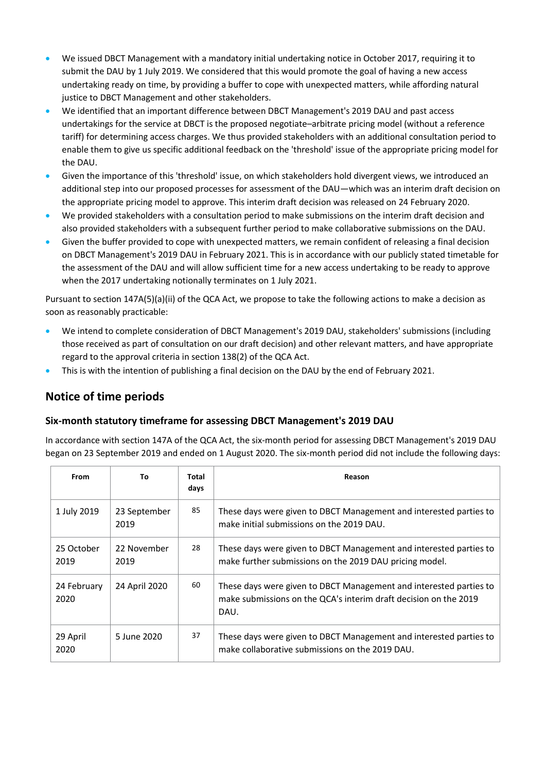- We issued DBCT Management with a mandatory initial undertaking notice in October 2017, requiring it to submit the DAU by 1 July 2019. We considered that this would promote the goal of having a new access undertaking ready on time, by providing a buffer to cope with unexpected matters, while affording natural justice to DBCT Management and other stakeholders.
- We identified that an important difference between DBCT Management's 2019 DAU and past access undertakings for the service at DBCT is the proposed negotiate–arbitrate pricing model (without a reference tariff) for determining access charges. We thus provided stakeholders with an additional consultation period to enable them to give us specific additional feedback on the 'threshold' issue of the appropriate pricing model for the DAU.
- Given the importance of this 'threshold' issue, on which stakeholders hold divergent views, we introduced an additional step into our proposed processes for assessment of the DAU—which was an interim draft decision on the appropriate pricing model to approve. This interim draft decision was released on 24 February 2020.
- We provided stakeholders with a consultation period to make submissions on the interim draft decision and also provided stakeholders with a subsequent further period to make collaborative submissions on the DAU.
- Given the buffer provided to cope with unexpected matters, we remain confident of releasing a final decision on DBCT Management's 2019 DAU in February 2021. This is in accordance with our publicly stated timetable for the assessment of the DAU and will allow sufficient time for a new access undertaking to be ready to approve when the 2017 undertaking notionally terminates on 1 July 2021.

Pursuant to section 147A(5)(a)(ii) of the QCA Act, we propose to take the following actions to make a decision as soon as reasonably practicable:

- We intend to complete consideration of DBCT Management's 2019 DAU, stakeholders' submissions (including those received as part of consultation on our draft decision) and other relevant matters, and have appropriate regard to the approval criteria in section 138(2) of the QCA Act.
- This is with the intention of publishing a final decision on the DAU by the end of February 2021.

# **Notice of time periods**

#### **Six-month statutory timeframe for assessing DBCT Management's 2019 DAU**

In accordance with section 147A of the QCA Act, the six-month period for assessing DBCT Management's 2019 DAU began on 23 September 2019 and ended on 1 August 2020. The six-month period did not include the following days:

| <b>From</b>         | To                   | Total<br>days | Reason                                                                                                                                         |
|---------------------|----------------------|---------------|------------------------------------------------------------------------------------------------------------------------------------------------|
| 1 July 2019         | 23 September<br>2019 | 85            | These days were given to DBCT Management and interested parties to<br>make initial submissions on the 2019 DAU.                                |
| 25 October<br>2019  | 22 November<br>2019  | 28            | These days were given to DBCT Management and interested parties to<br>make further submissions on the 2019 DAU pricing model.                  |
| 24 February<br>2020 | 24 April 2020        | 60            | These days were given to DBCT Management and interested parties to<br>make submissions on the QCA's interim draft decision on the 2019<br>DAU. |
| 29 April<br>2020    | 5 June 2020          | 37            | These days were given to DBCT Management and interested parties to<br>make collaborative submissions on the 2019 DAU.                          |